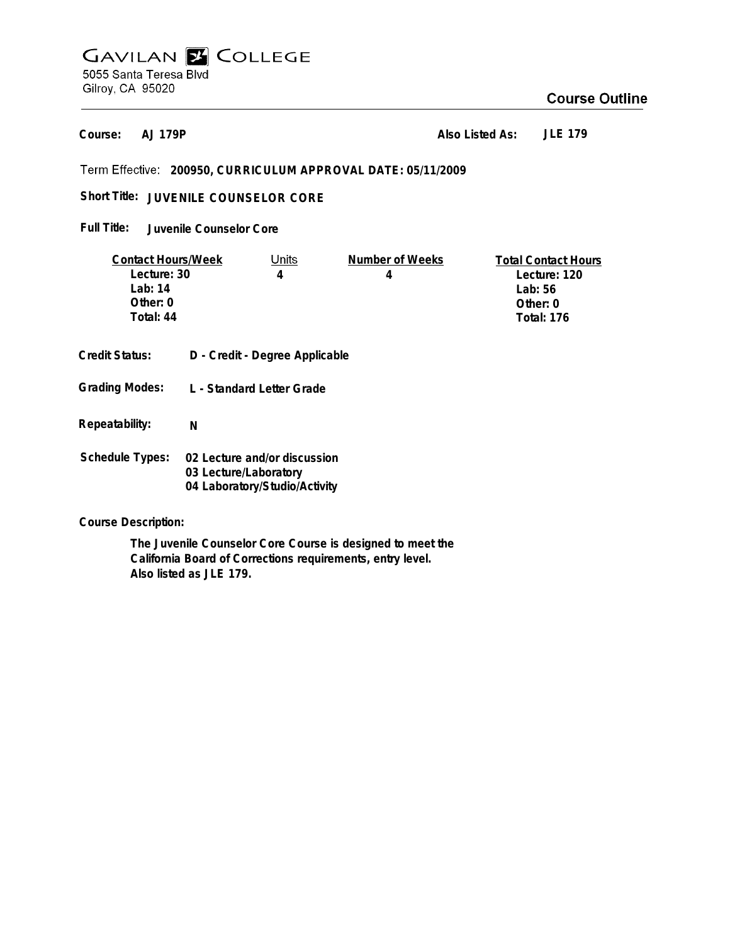# **GAVILAN Z COLLEGE** 5055 Santa Teresa Blvd Gilroy, CA 95020

## **Course Outline**

**AJ 179P Course:**

**Also Listed As: JLE 179**

**200950, CURRICULUM APPROVAL DATE: 05/11/2009**

Short Title: JUVENILE COUNSELOR CORE

**Juvenile Counselor Core Full Title:**

| <b>Contact Hours/Week</b> |                                | Units | Number of Weeks | <b>Total Contact Hours</b> |
|---------------------------|--------------------------------|-------|-----------------|----------------------------|
| Lecture: 30               |                                | 4     | 4               | Lecture: 120               |
| Lab: $14$                 |                                |       |                 | Lab: $56$                  |
| Other: 0                  |                                |       |                 | Other: $0$                 |
| Total: 44                 |                                |       |                 | <b>Total: 176</b>          |
|                           |                                |       |                 |                            |
| <b>Credit Status:</b>     | D - Credit - Degree Applicable |       |                 |                            |
|                           |                                |       |                 |                            |
| <b>Grading Modes:</b>     | L - Standard Letter Grade      |       |                 |                            |
|                           |                                |       |                 |                            |
|                           |                                |       |                 |                            |
| Repeatability:            | N                              |       |                 |                            |
|                           |                                |       |                 |                            |
| <b>Schedule Types:</b>    | 02 Lecture and/or discussion   |       |                 |                            |
|                           | 03 Lecture/Laboratory          |       |                 |                            |
|                           | 04 Laboratory/Studio/Activity  |       |                 |                            |

**Course Description:**

**The Juvenile Counselor Core Course is designed to meet the California Board of Corrections requirements, entry level. Also listed as JLE 179.**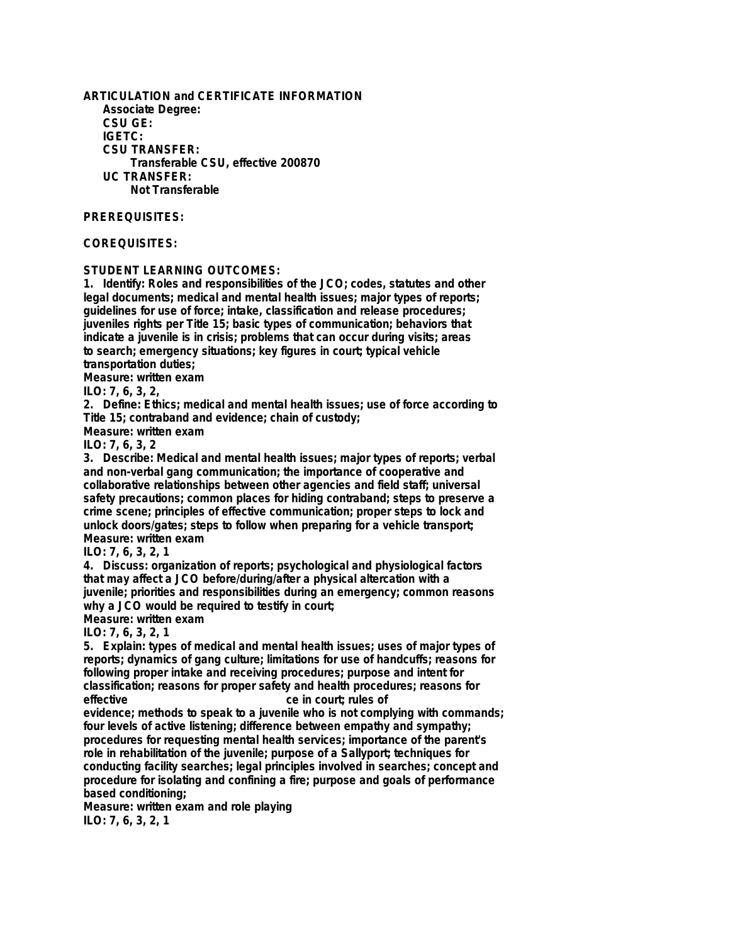**ARTICULATION and CERTIFICATE INFORMATION Associate Degree: CSU GE: IGETC: CSU TRANSFER: Transferable CSU, effective 200870 UC TRANSFER: Not Transferable**

#### **PREREQUISITES:**

### **COREQUISITES:**

**STUDENT LEARNING OUTCOMES:**

**1. Identify: Roles and responsibilities of the JCO; codes, statutes and other legal documents; medical and mental health issues; major types of reports; guidelines for use of force; intake, classification and release procedures; juveniles rights per Title 15; basic types of communication; behaviors that indicate a juvenile is in crisis; problems that can occur during visits; areas to search; emergency situations; key figures in court; typical vehicle transportation duties;**

**Measure: written exam**

**ILO: 7, 6, 3, 2,**

**2. Define: Ethics; medical and mental health issues; use of force according to Title 15; contraband and evidence; chain of custody;**

**Measure: written exam**

**ILO: 7, 6, 3, 2**

**3. Describe: Medical and mental health issues; major types of reports; verbal and non-verbal gang communication; the importance of cooperative and collaborative relationships between other agencies and field staff; universal safety precautions; common places for hiding contraband; steps to preserve a crime scene; principles of effective communication; proper steps to lock and unlock doors/gates; steps to follow when preparing for a vehicle transport; Measure: written exam**

**ILO: 7, 6, 3, 2, 1**

**4. Discuss: organization of reports; psychological and physiological factors that may affect a JCO before/during/after a physical altercation with a juvenile; priorities and responsibilities during an emergency; common reasons why a JCO would be required to testify in court;**

**Measure: written exam**

**ILO: 7, 6, 3, 2, 1**

**5. Explain: types of medical and mental health issues; uses of major types of reports; dynamics of gang culture; limitations for use of handcuffs; reasons for following proper intake and receiving procedures; purpose and intent for classification; reasons for proper safety and health procedures; reasons for effective ce in court; rules of**

**evidence; methods to speak to a juvenile who is not complying with commands; four levels of active listening; difference between empathy and sympathy; procedures for requesting mental health services; importance of the parent's role in rehabilitation of the juvenile; purpose of a Sallyport; techniques for conducting facility searches; legal principles involved in searches; concept and procedure for isolating and confining a fire; purpose and goals of performance based conditioning;**

**Measure: written exam and role playing ILO: 7, 6, 3, 2, 1**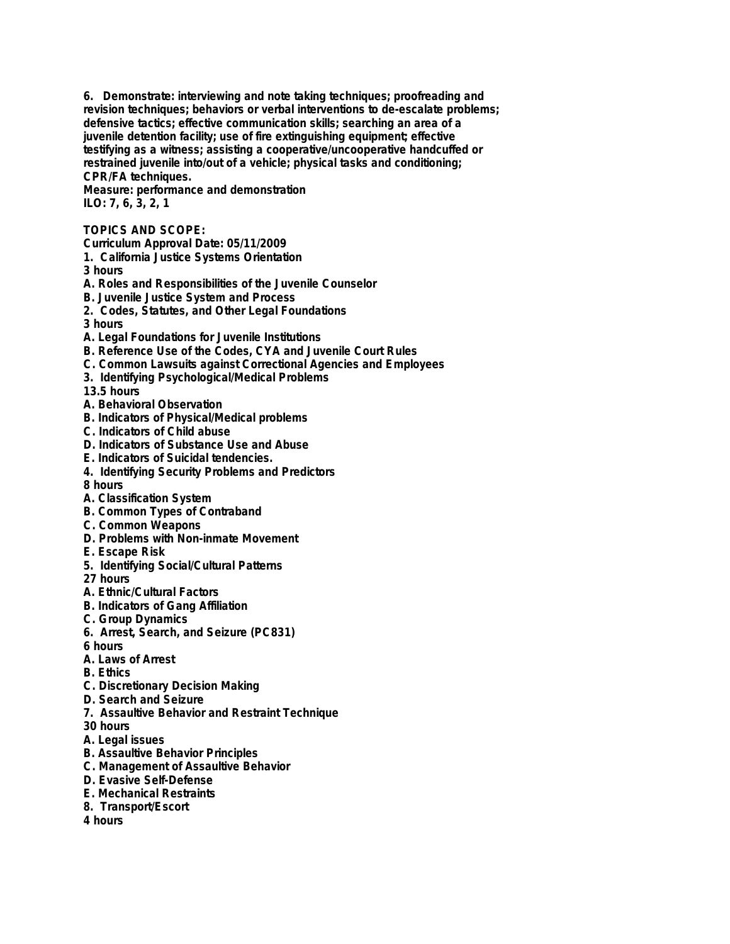**6. Demonstrate: interviewing and note taking techniques; proofreading and revision techniques; behaviors or verbal interventions to de-escalate problems; defensive tactics; effective communication skills; searching an area of a juvenile detention facility; use of fire extinguishing equipment; effective testifying as a witness; assisting a cooperative/uncooperative handcuffed or restrained juvenile into/out of a vehicle; physical tasks and conditioning; CPR/FA techniques.**

**Measure: performance and demonstration ILO: 7, 6, 3, 2, 1**

## **TOPICS AND SCOPE:**

**Curriculum Approval Date: 05/11/2009**

- **1. California Justice Systems Orientation**
- **3 hours**
- **A. Roles and Responsibilities of the Juvenile Counselor**
- **B. Juvenile Justice System and Process**
- **2. Codes, Statutes, and Other Legal Foundations**
- **3 hours**
- **A. Legal Foundations for Juvenile Institutions**
- **B. Reference Use of the Codes, CYA and Juvenile Court Rules**
- **C. Common Lawsuits against Correctional Agencies and Employees**
- **3. Identifying Psychological/Medical Problems**
- **13.5 hours**
- **A. Behavioral Observation**
- **B. Indicators of Physical/Medical problems**
- **C. Indicators of Child abuse**
- **D. Indicators of Substance Use and Abuse**
- **E. Indicators of Suicidal tendencies.**
- **4. Identifying Security Problems and Predictors**
- **8 hours**
- **A. Classification System**
- **B. Common Types of Contraband**
- **C. Common Weapons**
- **D. Problems with Non-inmate Movement**
- **E. Escape Risk**
- **5. Identifying Social/Cultural Patterns**
- **27 hours**
- **A. Ethnic/Cultural Factors**
- **B. Indicators of Gang Affiliation**
- **C. Group Dynamics**
- **6. Arrest, Search, and Seizure (PC831)**
- **6 hours**
- **A. Laws of Arrest**
- **B. Ethics**
- **C. Discretionary Decision Making**
- **D. Search and Seizure**
- **7. Assaultive Behavior and Restraint Technique**
- **30 hours**
- **A. Legal issues**
- **B. Assaultive Behavior Principles**
- **C. Management of Assaultive Behavior**
- **D. Evasive Self-Defense**
- **E. Mechanical Restraints**
- **8. Transport/Escort**
- **4 hours**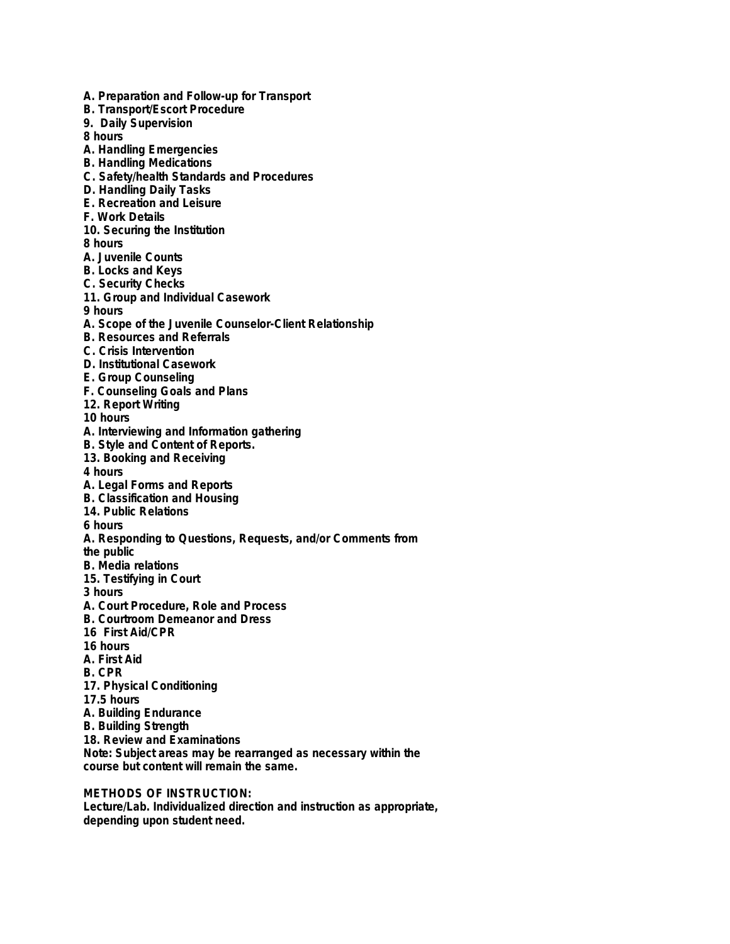**A. Preparation and Follow-up for Transport B. Transport/Escort Procedure 9. Daily Supervision 8 hours A. Handling Emergencies B. Handling Medications C. Safety/health Standards and Procedures D. Handling Daily Tasks E. Recreation and Leisure F. Work Details 10. Securing the Institution 8 hours A. Juvenile Counts B. Locks and Keys C. Security Checks 11. Group and Individual Casework 9 hours A. Scope of the Juvenile Counselor-Client Relationship B. Resources and Referrals C. Crisis Intervention D. Institutional Casework E. Group Counseling F. Counseling Goals and Plans 12. Report Writing 10 hours A. Interviewing and Information gathering B. Style and Content of Reports. 13. Booking and Receiving 4 hours A. Legal Forms and Reports B. Classification and Housing 14. Public Relations 6 hours A. Responding to Questions, Requests, and/or Comments from the public B. Media relations 15. Testifying in Court 3 hours A. Court Procedure, Role and Process B. Courtroom Demeanor and Dress 16 First Aid/CPR 16 hours A. First Aid B. CPR 17. Physical Conditioning 17.5 hours A. Building Endurance B. Building Strength 18. Review and Examinations Note: Subject areas may be rearranged as necessary within the course but content will remain the same. METHODS OF INSTRUCTION:**

**Lecture/Lab. Individualized direction and instruction as appropriate, depending upon student need.**